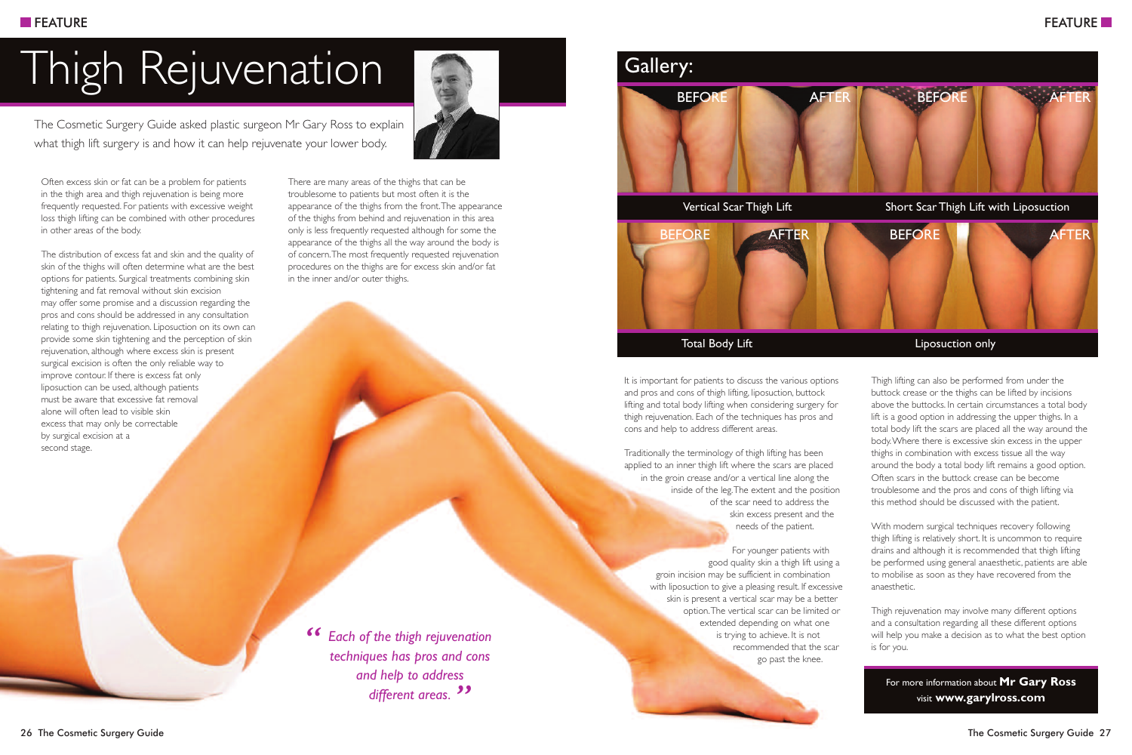## Thigh Rejuvenation

The Cosmetic Surgery Guide asked plastic surgeon Mr Gary Ross to explain what thigh lift surgery is and how it can help rejuvenate your lower body.



Often excess skin or fat can be a problem for patients in the thigh area and thigh rejuvenation is being more frequently requested. For patients with excessive weight loss thigh lifting can be combined with other procedures in other areas of the body.

The distribution of excess fat and skin and the quality of skin of the thighs will often determine what are the best options for patients. Surgical treatments combining skin tightening and fat removal without skin excision may offer some promise and a discussion regarding the pros and cons should be addressed in any consultation relating to thigh rejuvenation. Liposuction on its own can provide some skin tightening and the perception of skin rejuvenation, although where excess skin is present surgical excision is often the only reliable way to improve contour. If there is excess fat only liposuction can be used, although patients must be aware that excessive fat removal alone will often lead to visible skin excess that may only be correctable by surgical excision at a second stage.

There are many areas of the thighs that can be troublesome to patients but most often it is the appearance of the thighs from the front.The appearance of the thighs from behind and rejuvenation in this area only is less frequently requested although for some the appearance of the thighs all the way around the body is of concern.The most frequently requested rejuvenation procedures on the thighs are for excess skin and/or fat in the inner and/or outer thighs.

*Each of the thigh rejuvenation techniques has pros and cons and help to address different areas. " "*



It is important for patients to discuss the various options and pros and cons of thigh lifting, liposuction, buttock lifting and total body lifting when considering surgery for thigh rejuvenation. Each of the techniques has pros and cons and help to address different areas.

Traditionally the terminology of thigh lifting has been applied to an inner thigh lift where the scars are placed in the groin crease and/or a vertical line along the inside of the leg.The extent and the position of the scar need to address the skin excess present and the needs of the patient.

> For younger patients with good quality skin a thigh lift using a groin incision may be sufficient in combination with liposuction to give a pleasing result. If excessive skin is present a vertical scar may be a better option.The vertical scar can be limited or extended depending on what one is trying to achieve. It is not recommended that the scar go past the knee.

Thigh lifting can also be performed from under the buttock crease or the thighs can be lifted by incisions above the buttocks. In certain circumstances a total body lift is a good option in addressing the upper thighs. In a total body lift the scars are placed all the way around the body.Where there is excessive skin excess in the upper thighs in combination with excess tissue all the way around the body a total body lift remains a good option. Often scars in the buttock crease can be become troublesome and the pros and cons of thigh lifting via this method should be discussed with the patient.

With modern surgical techniques recovery following thigh lifting is relatively short. It is uncommon to require drains and although it is recommended that thigh lifting be performed using general anaesthetic, patients are able to mobilise as soon as they have recovered from the anaesthetic.

Thigh rejuvenation may involve many different options and a consultation regarding all these different options will help you make a decision as to what the best option is for you.

For more information about **Mr Gary Ross** visit **www.garylross.com**